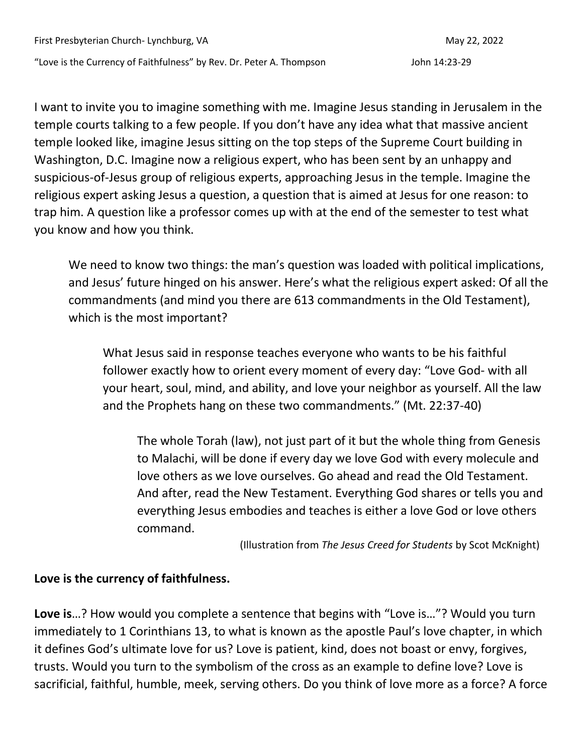First Presbyterian Church- Lynchburg, VA May 22, 2022

"Love is the Currency of Faithfulness" by Rev. Dr. Peter A. Thompson John 14:23-29

I want to invite you to imagine something with me. Imagine Jesus standing in Jerusalem in the temple courts talking to a few people. If you don't have any idea what that massive ancient temple looked like, imagine Jesus sitting on the top steps of the Supreme Court building in Washington, D.C. Imagine now a religious expert, who has been sent by an unhappy and suspicious-of-Jesus group of religious experts, approaching Jesus in the temple. Imagine the religious expert asking Jesus a question, a question that is aimed at Jesus for one reason: to trap him. A question like a professor comes up with at the end of the semester to test what you know and how you think.

We need to know two things: the man's question was loaded with political implications, and Jesus' future hinged on his answer. Here's what the religious expert asked: Of all the commandments (and mind you there are 613 commandments in the Old Testament), which is the most important?

What Jesus said in response teaches everyone who wants to be his faithful follower exactly how to orient every moment of every day: "Love God- with all your heart, soul, mind, and ability, and love your neighbor as yourself. All the law and the Prophets hang on these two commandments." (Mt. 22:37-40)

The whole Torah (law), not just part of it but the whole thing from Genesis to Malachi, will be done if every day we love God with every molecule and love others as we love ourselves. Go ahead and read the Old Testament. And after, read the New Testament. Everything God shares or tells you and everything Jesus embodies and teaches is either a love God or love others command.

(Illustration from *The Jesus Creed for Students* by Scot McKnight)

## **Love is the currency of faithfulness.**

**Love is**…? How would you complete a sentence that begins with "Love is…"? Would you turn immediately to 1 Corinthians 13, to what is known as the apostle Paul's love chapter, in which it defines God's ultimate love for us? Love is patient, kind, does not boast or envy, forgives, trusts. Would you turn to the symbolism of the cross as an example to define love? Love is sacrificial, faithful, humble, meek, serving others. Do you think of love more as a force? A force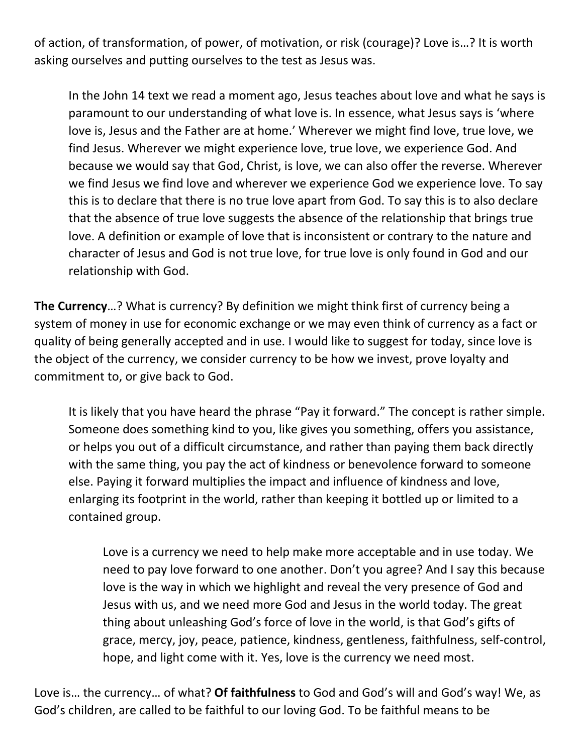of action, of transformation, of power, of motivation, or risk (courage)? Love is…? It is worth asking ourselves and putting ourselves to the test as Jesus was.

In the John 14 text we read a moment ago, Jesus teaches about love and what he says is paramount to our understanding of what love is. In essence, what Jesus says is 'where love is, Jesus and the Father are at home.' Wherever we might find love, true love, we find Jesus. Wherever we might experience love, true love, we experience God. And because we would say that God, Christ, is love, we can also offer the reverse. Wherever we find Jesus we find love and wherever we experience God we experience love. To say this is to declare that there is no true love apart from God. To say this is to also declare that the absence of true love suggests the absence of the relationship that brings true love. A definition or example of love that is inconsistent or contrary to the nature and character of Jesus and God is not true love, for true love is only found in God and our relationship with God.

**The Currency**…? What is currency? By definition we might think first of currency being a system of money in use for economic exchange or we may even think of currency as a fact or quality of being generally accepted and in use. I would like to suggest for today, since love is the object of the currency, we consider currency to be how we invest, prove loyalty and commitment to, or give back to God.

It is likely that you have heard the phrase "Pay it forward." The concept is rather simple. Someone does something kind to you, like gives you something, offers you assistance, or helps you out of a difficult circumstance, and rather than paying them back directly with the same thing, you pay the act of kindness or benevolence forward to someone else. Paying it forward multiplies the impact and influence of kindness and love, enlarging its footprint in the world, rather than keeping it bottled up or limited to a contained group.

Love is a currency we need to help make more acceptable and in use today. We need to pay love forward to one another. Don't you agree? And I say this because love is the way in which we highlight and reveal the very presence of God and Jesus with us, and we need more God and Jesus in the world today. The great thing about unleashing God's force of love in the world, is that God's gifts of grace, mercy, joy, peace, patience, kindness, gentleness, faithfulness, self-control, hope, and light come with it. Yes, love is the currency we need most.

Love is… the currency… of what? **Of faithfulness** to God and God's will and God's way! We, as God's children, are called to be faithful to our loving God. To be faithful means to be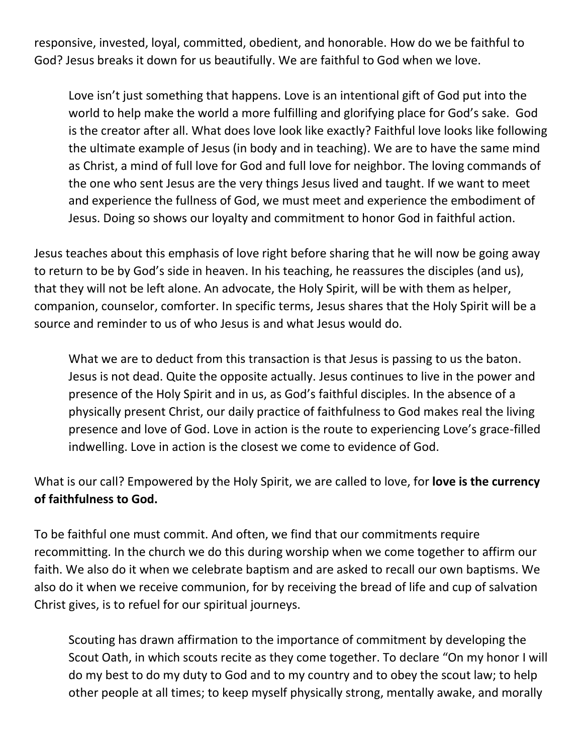responsive, invested, loyal, committed, obedient, and honorable. How do we be faithful to God? Jesus breaks it down for us beautifully. We are faithful to God when we love.

Love isn't just something that happens. Love is an intentional gift of God put into the world to help make the world a more fulfilling and glorifying place for God's sake. God is the creator after all. What does love look like exactly? Faithful love looks like following the ultimate example of Jesus (in body and in teaching). We are to have the same mind as Christ, a mind of full love for God and full love for neighbor. The loving commands of the one who sent Jesus are the very things Jesus lived and taught. If we want to meet and experience the fullness of God, we must meet and experience the embodiment of Jesus. Doing so shows our loyalty and commitment to honor God in faithful action.

Jesus teaches about this emphasis of love right before sharing that he will now be going away to return to be by God's side in heaven. In his teaching, he reassures the disciples (and us), that they will not be left alone. An advocate, the Holy Spirit, will be with them as helper, companion, counselor, comforter. In specific terms, Jesus shares that the Holy Spirit will be a source and reminder to us of who Jesus is and what Jesus would do.

What we are to deduct from this transaction is that Jesus is passing to us the baton. Jesus is not dead. Quite the opposite actually. Jesus continues to live in the power and presence of the Holy Spirit and in us, as God's faithful disciples. In the absence of a physically present Christ, our daily practice of faithfulness to God makes real the living presence and love of God. Love in action is the route to experiencing Love's grace-filled indwelling. Love in action is the closest we come to evidence of God.

What is our call? Empowered by the Holy Spirit, we are called to love, for **love is the currency of faithfulness to God.**

To be faithful one must commit. And often, we find that our commitments require recommitting. In the church we do this during worship when we come together to affirm our faith. We also do it when we celebrate baptism and are asked to recall our own baptisms. We also do it when we receive communion, for by receiving the bread of life and cup of salvation Christ gives, is to refuel for our spiritual journeys.

Scouting has drawn affirmation to the importance of commitment by developing the Scout Oath, in which scouts recite as they come together. To declare "On my honor I will do my best to do my duty to God and to my country and to obey the scout law; to help other people at all times; to keep myself physically strong, mentally awake, and morally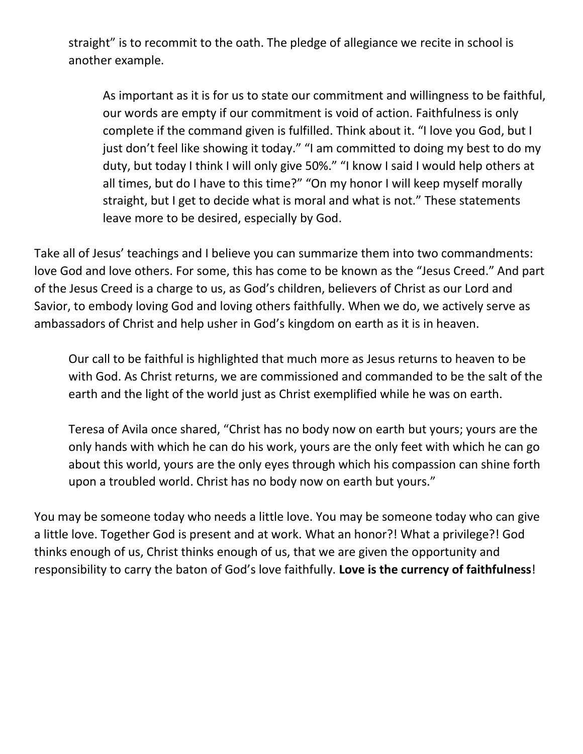straight" is to recommit to the oath. The pledge of allegiance we recite in school is another example.

As important as it is for us to state our commitment and willingness to be faithful, our words are empty if our commitment is void of action. Faithfulness is only complete if the command given is fulfilled. Think about it. "I love you God, but I just don't feel like showing it today." "I am committed to doing my best to do my duty, but today I think I will only give 50%." "I know I said I would help others at all times, but do I have to this time?" "On my honor I will keep myself morally straight, but I get to decide what is moral and what is not." These statements leave more to be desired, especially by God.

Take all of Jesus' teachings and I believe you can summarize them into two commandments: love God and love others. For some, this has come to be known as the "Jesus Creed." And part of the Jesus Creed is a charge to us, as God's children, believers of Christ as our Lord and Savior, to embody loving God and loving others faithfully. When we do, we actively serve as ambassadors of Christ and help usher in God's kingdom on earth as it is in heaven.

Our call to be faithful is highlighted that much more as Jesus returns to heaven to be with God. As Christ returns, we are commissioned and commanded to be the salt of the earth and the light of the world just as Christ exemplified while he was on earth.

Teresa of Avila once shared, "Christ has no body now on earth but yours; yours are the only hands with which he can do his work, yours are the only feet with which he can go about this world, yours are the only eyes through which his compassion can shine forth upon a troubled world. Christ has no body now on earth but yours."

You may be someone today who needs a little love. You may be someone today who can give a little love. Together God is present and at work. What an honor?! What a privilege?! God thinks enough of us, Christ thinks enough of us, that we are given the opportunity and responsibility to carry the baton of God's love faithfully. **Love is the currency of faithfulness**!